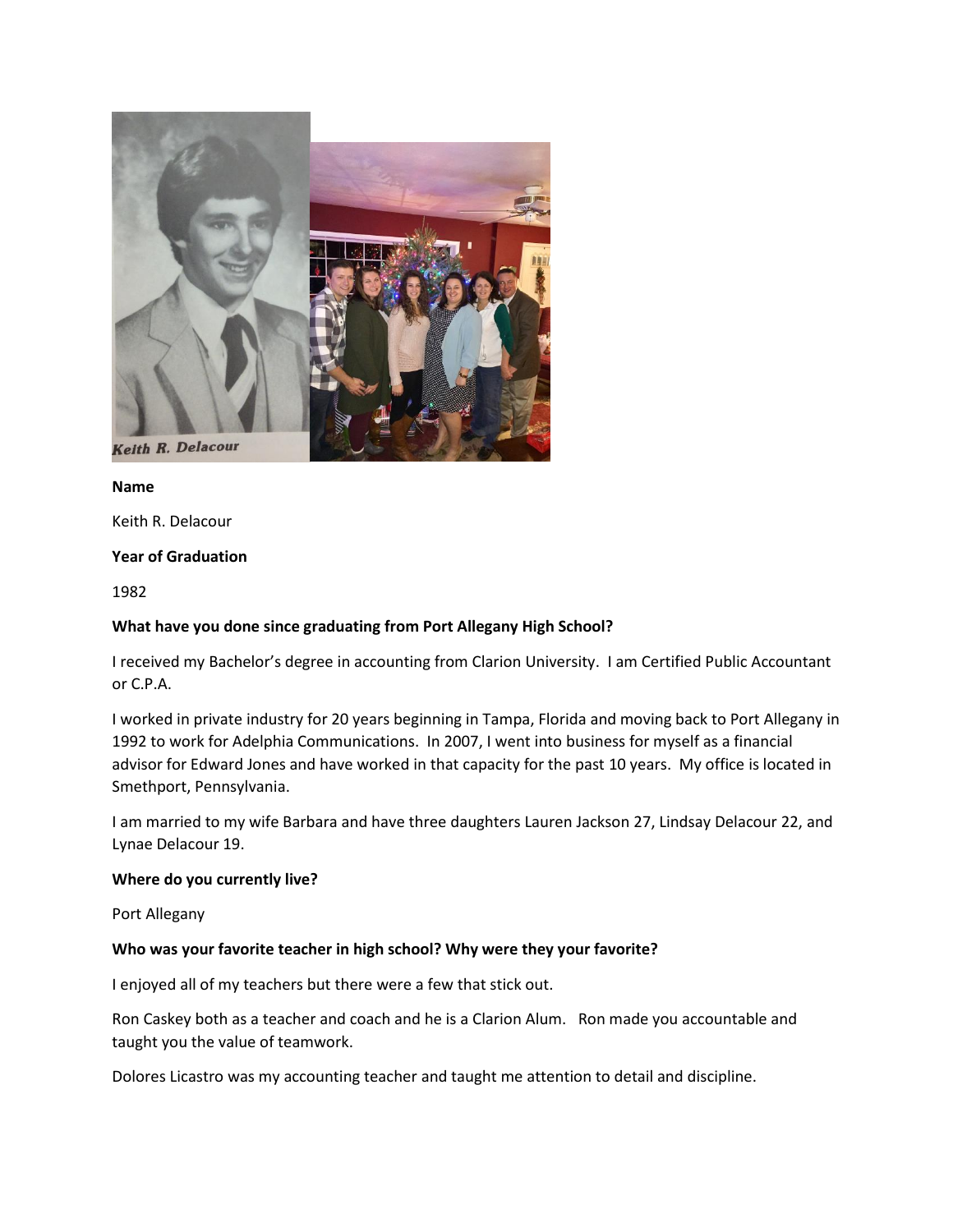

# **Name**

Keith R. Delacour

### **Year of Graduation**

1982

### **What have you done since graduating from Port Allegany High School?**

I received my Bachelor's degree in accounting from Clarion University. I am Certified Public Accountant or C.P.A.

I worked in private industry for 20 years beginning in Tampa, Florida and moving back to Port Allegany in 1992 to work for Adelphia Communications. In 2007, I went into business for myself as a financial advisor for Edward Jones and have worked in that capacity for the past 10 years. My office is located in Smethport, Pennsylvania.

I am married to my wife Barbara and have three daughters Lauren Jackson 27, Lindsay Delacour 22, and Lynae Delacour 19.

### **Where do you currently live?**

Port Allegany

### **Who was your favorite teacher in high school? Why were they your favorite?**

I enjoyed all of my teachers but there were a few that stick out.

Ron Caskey both as a teacher and coach and he is a Clarion Alum. Ron made you accountable and taught you the value of teamwork.

Dolores Licastro was my accounting teacher and taught me attention to detail and discipline.